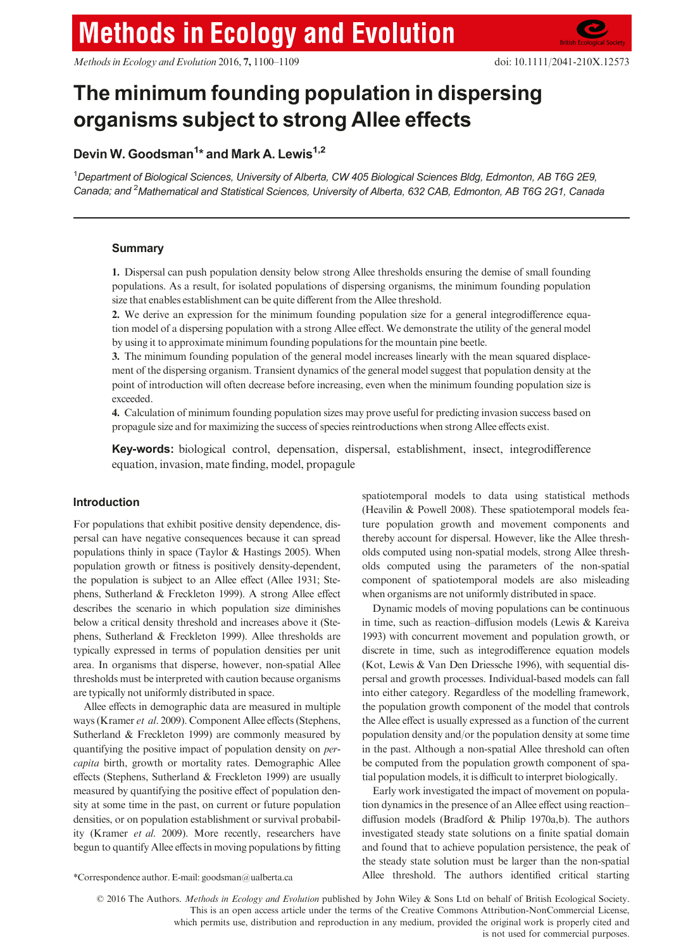# **Methods in Ecology and Evolution**

Methods in Ecology and Evolution 2016, 7, 1100–1109 doi: 10.1111/2041-210X.12573

## The minimum founding population in dispersing organisms subject to strong Allee effects

### Devin W. Goodsman<sup>1</sup>\* and Mark A. Lewis<sup>1,2</sup>

<sup>1</sup>Department of Biological Sciences, University of Alberta, CW 405 Biological Sciences Bldg, Edmonton, AB T6G 2E9, Canada; and <sup>2</sup>Mathematical and Statistical Sciences, University of Alberta, 632 CAB, Edmonton, AB T6G 2G1, Canada

#### **Summary**

1. Dispersal can push population density below strong Allee thresholds ensuring the demise of small founding populations. As a result, for isolated populations of dispersing organisms, the minimum founding population size that enables establishment can be quite different from the Allee threshold.

2. We derive an expression for the minimum founding population size for a general integrodifference equation model of a dispersing population with a strong Allee effect. We demonstrate the utility of the general model by using it to approximate minimum founding populations for the mountain pine beetle.

3. The minimum founding population of the general model increases linearly with the mean squared displacement of the dispersing organism. Transient dynamics of the general model suggest that population density at the point of introduction will often decrease before increasing, even when the minimum founding population size is exceeded.

4. Calculation of minimum founding population sizes may prove useful for predicting invasion success based on propagule size and for maximizing the success of species reintroductions when strong Allee effects exist.

Key-words: biological control, depensation, dispersal, establishment, insect, integrodifference equation, invasion, mate finding, model, propagule

#### Introduction

For populations that exhibit positive density dependence, dispersal can have negative consequences because it can spread populations thinly in space (Taylor & Hastings 2005). When population growth or fitness is positively density-dependent, the population is subject to an Allee effect (Allee 1931; Stephens, Sutherland & Freckleton 1999). A strong Allee effect describes the scenario in which population size diminishes below a critical density threshold and increases above it (Stephens, Sutherland & Freckleton 1999). Allee thresholds are typically expressed in terms of population densities per unit area. In organisms that disperse, however, non-spatial Allee thresholds must be interpreted with caution because organisms are typically not uniformly distributed in space.

Allee effects in demographic data are measured in multiple ways (Kramer et al. 2009). Component Allee effects (Stephens, Sutherland & Freckleton 1999) are commonly measured by quantifying the positive impact of population density on percapita birth, growth or mortality rates. Demographic Allee effects (Stephens, Sutherland & Freckleton 1999) are usually measured by quantifying the positive effect of population density at some time in the past, on current or future population densities, or on population establishment or survival probability (Kramer et al. 2009). More recently, researchers have begun to quantify Allee effects in moving populations by fitting

spatiotemporal models to data using statistical methods (Heavilin & Powell 2008). These spatiotemporal models feature population growth and movement components and thereby account for dispersal. However, like the Allee thresholds computed using non-spatial models, strong Allee thresholds computed using the parameters of the non-spatial component of spatiotemporal models are also misleading when organisms are not uniformly distributed in space.

Dynamic models of moving populations can be continuous in time, such as reaction–diffusion models (Lewis & Kareiva 1993) with concurrent movement and population growth, or discrete in time, such as integrodifference equation models (Kot, Lewis & Van Den Driessche 1996), with sequential dispersal and growth processes. Individual-based models can fall into either category. Regardless of the modelling framework, the population growth component of the model that controls the Allee effect is usually expressed as a function of the current population density and/or the population density at some time in the past. Although a non-spatial Allee threshold can often be computed from the population growth component of spatial population models, it is difficult to interpret biologically.

Early work investigated the impact of movement on population dynamics in the presence of an Allee effect using reaction– diffusion models (Bradford & Philip 1970a,b). The authors investigated steady state solutions on a finite spatial domain and found that to achieve population persistence, the peak of the steady state solution must be larger than the non-spatial \*Correspondence author. E-mail: goodsman@ualberta.ca Allee threshold. The authors identified critical starting

© 2016 The Authors. Methods in Ecology and Evolution published by John Wiley & Sons Ltd on behalf of British Ecological Society. This is an open access article under the terms of the [Creative Commons Attribution-NonCommercial](http://creativecommons.org/licenses/by-nc/4.0/) License, which permits use, distribution and reproduction in any medium, provided the original work is properly cited and is not used for commercial purposes.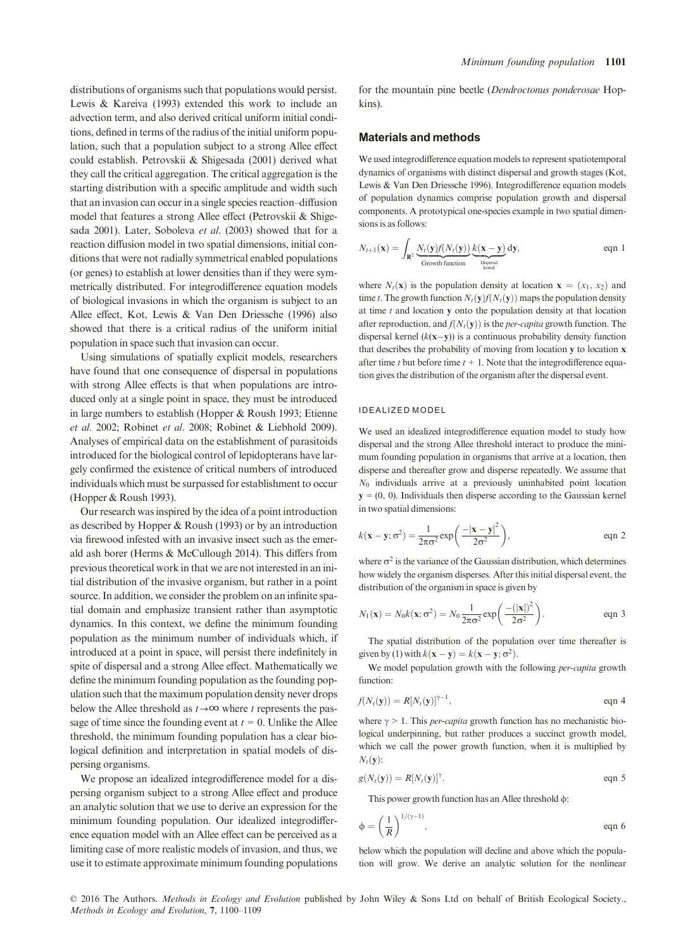distributions of organisms such that populations would persist. Lewis & Kareiva (1993) extended this work to include an advection term, and also derived critical uniform initial conditions, defined in terms of the radius of the initial uniform population, such that a population subject to a strong Allee effect could establish. Petrovskii & Shigesada (2001) derived what they call the critical aggregation. The critical aggregation is the starting distribution with a specific amplitude and width such that an invasion can occur in a single species reaction–diffusion model that features a strong Allee effect (Petrovskii & Shigesada 2001). Later, Soboleva et al. (2003) showed that for a reaction diffusion model in two spatial dimensions, initial conditions that were not radially symmetrical enabled populations (or genes) to establish at lower densities than if they were symmetrically distributed. For integrodifference equation models of biological invasions in which the organism is subject to an Allee effect, Kot, Lewis & Van Den Driessche (1996) also showed that there is a critical radius of the uniform initial population in space such that invasion can occur.

Using simulations of spatially explicit models, researchers have found that one consequence of dispersal in populations with strong Allee effects is that when populations are introduced only at a single point in space, they must be introduced in large numbers to establish (Hopper & Roush 1993; Etienne et al. 2002; Robinet et al. 2008; Robinet & Liebhold 2009). Analyses of empirical data on the establishment of parasitoids introduced for the biological control of lepidopterans have largely confirmed the existence of critical numbers of introduced individuals which must be surpassed for establishment to occur (Hopper & Roush 1993).

Our research was inspired by the idea of a point introduction as described by Hopper & Roush (1993) or by an introduction via firewood infested with an invasive insect such as the emerald ash borer (Herms & McCullough 2014). This differs from previous theoretical work in that we are not interested in an initial distribution of the invasive organism, but rather in a point source. In addition, we consider the problem on an infinite spatial domain and emphasize transient rather than asymptotic dynamics. In this context, we define the minimum founding population as the minimum number of individuals which, if introduced at a point in space, will persist there indefinitely in spite of dispersal and a strong Allee effect. Mathematically we define the minimum founding population as the founding population such that the maximum population density never drops below the Allee threshold as  $t \rightarrow \infty$  where t represents the passage of time since the founding event at  $t = 0$ . Unlike the Allee threshold, the minimum founding population has a clear biological definition and interpretation in spatial models of dispersing organisms.

We propose an idealized integrodifference model for a dispersing organism subject to a strong Allee effect and produce an analytic solution that we use to derive an expression for the minimum founding population. Our idealized integrodifference equation model with an Allee effect can be perceived as a limiting case of more realistic models of invasion, and thus, we use it to estimate approximate minimum founding populations for the mountain pine beetle (Dendroctonus ponderosae Hopkins).

#### Materials and methods

We used integrodifference equation models to represent spatiotemporal dynamics of organisms with distinct dispersal and growth stages (Kot, Lewis & Van Den Driessche 1996). Integrodifference equation models of population dynamics comprise population growth and dispersal components. A prototypical one-species example in two spatial dimensions is as follows:

$$
N_{t+1}(\mathbf{x}) = \int_{\mathbf{R}^2} \underbrace{N_t(\mathbf{y}) f(N_t(\mathbf{y}))}_{\text{Growth function}} \underbrace{k(\mathbf{x} - \mathbf{y})}_{\text{Dipersal}} \, \mathrm{d}\mathbf{y}, \quad \text{eqn 1}
$$

where  $N_t(\mathbf{x})$  is the population density at location  $\mathbf{x} = (x_1, x_2)$  and time t. The growth function  $N_t(\mathbf{y})f(N_t(\mathbf{y}))$  maps the population density at time  $t$  and location  $y$  onto the population density at that location after reproduction, and  $f(N_t(y))$  is the *per-capita* growth function. The dispersal kernel  $(k(x-y))$  is a continuous probability density function that describes the probability of moving from location y to location x after time t but before time  $t + 1$ . Note that the integrodifference equation gives the distribution of the organism after the dispersal event.

#### IDEALIZED MODEL

We used an idealized integrodifference equation model to study how dispersal and the strong Allee threshold interact to produce the minimum founding population in organisms that arrive at a location, then disperse and thereafter grow and disperse repeatedly. We assume that  $N_0$  individuals arrive at a previously uninhabited point location  $y = (0, 0)$ . Individuals then disperse according to the Gaussian kernel in two spatial dimensions:

$$
k(\mathbf{x} - \mathbf{y}; \sigma^2) = \frac{1}{2\pi\sigma^2} \exp\left(\frac{-|\mathbf{x} - \mathbf{y}|^2}{2\sigma^2}\right), \qquad \text{eqn 2}
$$

where  $\sigma^2$  is the variance of the Gaussian distribution, which determines how widely the organism disperses. After this initial dispersal event, the distribution of the organism in space is given by

$$
N_1(\mathbf{x}) = N_0 k(\mathbf{x}; \sigma^2) = N_0 \frac{1}{2\pi\sigma^2} \exp\left(\frac{-(|\mathbf{x}|)^2}{2\sigma^2}\right).
$$
 eqn 3

The spatial distribution of the population over time thereafter is given by (1) with  $k(\mathbf{x} - \mathbf{y}) = k(\mathbf{x} - \mathbf{y}; \sigma^2)$ .

We model population growth with the following *per-capita* growth function:

$$
f(N_t(\mathbf{y})) = R[N_t(\mathbf{y})]^{t-1}, \qquad \text{eqn 4}
$$

where  $\gamma > 1$ . This *per-capita* growth function has no mechanistic biological underpinning, but rather produces a succinct growth model, which we call the power growth function, when it is multiplied by  $N_t(\mathbf{y})$ :

$$
g(N_t(\mathbf{y})) = R[N_t(\mathbf{y})]^{\gamma}.
$$
eqn 5

This power growth function has an Allee threshold  $\phi$ :

$$
\phi = \left(\frac{1}{R}\right)^{1/(\gamma - 1)}, \qquad \text{eqn 6}
$$

below which the population will decline and above which the population will grow. We derive an analytic solution for the nonlinear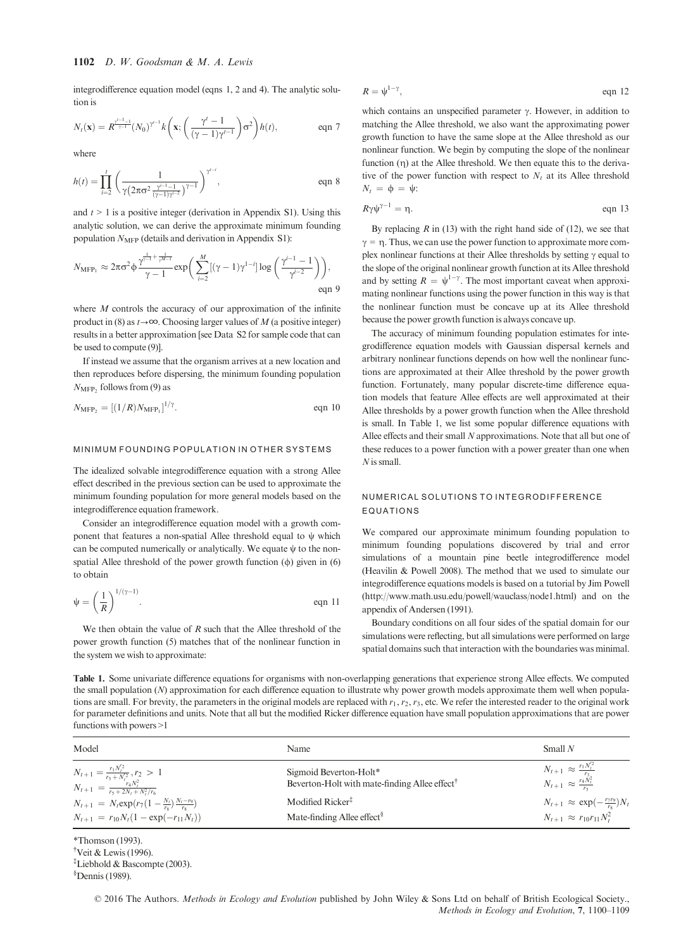integrodifference equation model (eqns 1, 2 and 4). The analytic solution is

$$
N_t(\mathbf{x}) = R^{\frac{\gamma^{t-1}-1}{\gamma-1}}(N_0)^{\gamma^{t-1}} k\left(\mathbf{x}; \left(\frac{\gamma^t-1}{(\gamma-1)\gamma^{t-1}}\right) \sigma^2\right) h(t), \qquad \text{eqn 7}
$$

where

$$
h(t) = \prod_{i=2}^{t} \left( \frac{1}{\gamma \left( 2\pi \sigma^2 \frac{\gamma^{i-1} - 1}{(\gamma - 1)\gamma^{i-2}} \right)^{\gamma - 1}} \right)^{\gamma^{t-i}}, \quad \text{eqn 8}
$$

and  $t > 1$  is a positive integer (derivation in Appendix S1). Using this analytic solution, we can derive the approximate minimum founding population  $N<sub>MFP</sub>$  (details and derivation in Appendix S1):

$$
N_{\text{MFP}_1} \approx 2\pi\sigma^2 \phi \frac{\gamma^{\frac{1}{\gamma-1}+\frac{1}{\gamma N-1}}}{\gamma-1} \exp\bigg(\sum_{i=2}^M [(\gamma-1)\gamma^{1-i}] \log\bigg(\frac{\gamma^{i-1}-1}{\gamma^{i-2}}\bigg)\bigg),\tag{eqn 9}
$$

where  $M$  controls the accuracy of our approximation of the infinite product in (8) as  $t \rightarrow \infty$ . Choosing larger values of M (a positive integer) results in a better approximation [see Data S2 for sample code that can be used to compute (9)].

If instead we assume that the organism arrives at a new location and then reproduces before dispersing, the minimum founding population  $N<sub>MFP</sub>$ , follows from (9) as

$$
N_{\rm MFP_2} = [(1/R)N_{\rm MFP_1}]^{1/\gamma}.
$$
eqn 10

#### MINIMUM FOUNDING POPULATION IN OTHER SYSTEMS

The idealized solvable integrodifference equation with a strong Allee effect described in the previous section can be used to approximate the minimum founding population for more general models based on the integrodifference equation framework.

Consider an integrodifference equation model with a growth component that features a non-spatial Allee threshold equal to  $\psi$  which can be computed numerically or analytically. We equate  $\psi$  to the nonspatial Allee threshold of the power growth function  $(\phi)$  given in  $(6)$ to obtain

$$
\psi = \left(\frac{1}{R}\right)^{1/(\gamma - 1)}.\tag{eqn 11}
$$

We then obtain the value of  $R$  such that the Allee threshold of the power growth function (5) matches that of the nonlinear function in the system we wish to approximate:

$$
R = \psi^{1-\gamma}, \qquad \text{eqn 12}
$$

which contains an unspecified parameter  $\gamma$ . However, in addition to matching the Allee threshold, we also want the approximating power growth function to have the same slope at the Allee threshold as our nonlinear function. We begin by computing the slope of the nonlinear function  $(\eta)$  at the Allee threshold. We then equate this to the derivative of the power function with respect to  $N_t$  at its Allee threshold  $N_t = \phi = \psi$ :

$$
R\gamma\psi^{\gamma-1}=\eta.\tag{eqn 13}
$$

By replacing  $R$  in (13) with the right hand side of (12), we see that  $\gamma = \eta$ . Thus, we can use the power function to approximate more complex nonlinear functions at their Allee thresholds by setting  $\gamma$  equal to the slope of the original nonlinear growth function at its Allee threshold and by setting  $R = \psi^{1-\gamma}$ . The most important caveat when approxi-<br>mating negligear functions wing the neuror function in this way is that mating nonlinear functions using the power function in this way is that the nonlinear function must be concave up at its Allee threshold because the power growth function is always concave up.

The accuracy of minimum founding population estimates for integrodifference equation models with Gaussian dispersal kernels and arbitrary nonlinear functions depends on how well the nonlinear functions are approximated at their Allee threshold by the power growth function. Fortunately, many popular discrete-time difference equation models that feature Allee effects are well approximated at their Allee thresholds by a power growth function when the Allee threshold is small. In Table 1, we list some popular difference equations with Allee effects and their small N approximations. Note that all but one of these reduces to a power function with a power greater than one when  $N$  is small.

#### NUMERICAL SOLUTIONS TO INTEGRODIFFERENCE EQUATIONS

We compared our approximate minimum founding population to minimum founding populations discovered by trial and error simulations of a mountain pine beetle integrodifference model (Heavilin & Powell 2008). The method that we used to simulate our integrodifference equations models is based on a tutorial by Jim Powell ([http://www.math.usu.edu/powell/wauclass/node1.html\)](http://www.math.usu.edu/powell/wauclass/node1.html) and on the appendix of Andersen (1991).

Boundary conditions on all four sides of the spatial domain for our simulations were reflecting, but all simulations were performed on large spatial domains such that interaction with the boundaries was minimal.

Table 1. Some univariate difference equations for organisms with non-overlapping generations that experience strong Allee effects. We computed the small population (N) approximation for each difference equation to illustrate why power growth models approximate them well when populations are small. For brevity, the parameters in the original models are replaced with  $r_1$ ,  $r_2$ ,  $r_3$ , etc. We refer the interested reader to the original work for parameter definitions and units. Note that all but the modified Ricker difference equation have small population approximations that are power functions with powers >1

| Model                                                                                                                  | Name                                                                                                    | Small $N$                                                                                 |
|------------------------------------------------------------------------------------------------------------------------|---------------------------------------------------------------------------------------------------------|-------------------------------------------------------------------------------------------|
| $N_{t+1} = \frac{r_1 N_t^2}{r_3 + N_{t+1}^2}$ , $r_2 > 1$<br>$N_{t+1} = \frac{r_4 N_t^2}{r_5 + 2N_t + N_t^2/r_6}$      | Sigmoid Beverton-Holt*<br>Beverton-Holt with mate-finding Allee effect <sup><math>\uparrow</math></sup> | $N_{t+1} \approx \frac{r_1 N_t^2}{r_3}$<br>$N_{t+1} \approx \frac{r_4 N_t^2}{r_5}$        |
| $N_{t+1} = N_t \exp(r_7(1 - \frac{N_t}{r_8}) \frac{N_t - r_9}{r_8})$<br>$N_{t+1} = r_{10} N_t (1 - \exp(-r_{11} N_t))$ | Modified Ricker <sup>1</sup><br>Mate-finding Allee effect <sup>§</sup>                                  | $N_{t+1} \approx \exp(-\frac{r_7 r_9}{r_8}) N_t$<br>$N_{t+1} \approx r_{10} r_{11} N_t^2$ |

\*Thomson (1993). † Veit & Lewis (1996). ‡ Liebhold & Bascompte (2003).

§ Dennis (1989).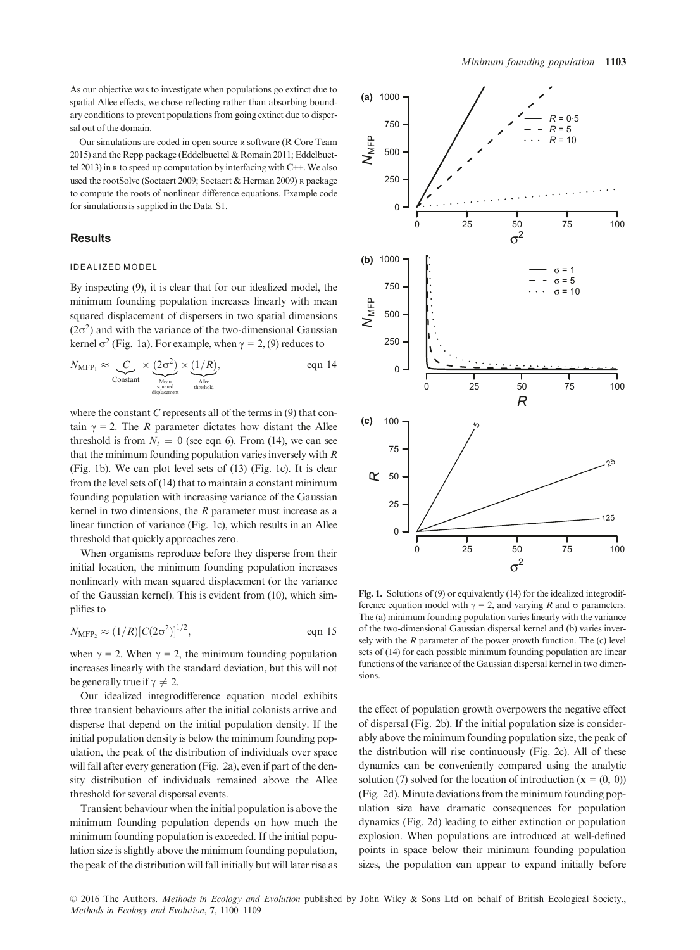As our objective was to investigate when populations go extinct due to spatial Allee effects, we chose reflecting rather than absorbing boundary conditions to prevent populations from going extinct due to dispersal out of the domain.

Our simulations are coded in open source <sup>R</sup> software (R Core Team 2015) and the Rcpp package (Eddelbuettel & Romain 2011; Eddelbuettel 2013) in R to speed up computation by interfacing with  $C++$ . We also used the rootSolve (Soetaert 2009; Soetaert & Herman 2009) <sup>R</sup> package to compute the roots of nonlinear difference equations. Example code for simulations is supplied in the Data S1.

#### **Results**

#### IDEALIZED MODEL

By inspecting (9), it is clear that for our idealized model, the minimum founding population increases linearly with mean squared displacement of dispersers in two spatial dimensions  $(2\sigma^2)$  and with the variance of the two-dimensional Gaussian kernel  $\sigma^2$  (Fig. 1a). For example, when  $\gamma = 2$ , (9) reduces to

$$
N_{\text{MFP}_1} \approx \underbrace{C}_{\text{Constant}} \times \underbrace{(2\sigma^2)}_{\text{Mean} \atop \text{displacement} \atop \text{displacement}} \times \underbrace{(1/R)}_{\text{Allee} \atop \text{threshold}},
$$
eqn 14

where the constant  $C$  represents all of the terms in  $(9)$  that contain  $\gamma = 2$ . The R parameter dictates how distant the Allee threshold is from  $N_t = 0$  (see eqn 6). From (14), we can see that the minimum founding population varies inversely with  $$ (Fig. 1b). We can plot level sets of (13) (Fig. 1c). It is clear from the level sets of (14) that to maintain a constant minimum founding population with increasing variance of the Gaussian kernel in two dimensions, the  $R$  parameter must increase as a linear function of variance (Fig. 1c), which results in an Allee threshold that quickly approaches zero.

When organisms reproduce before they disperse from their initial location, the minimum founding population increases nonlinearly with mean squared displacement (or the variance of the Gaussian kernel). This is evident from (10), which simplifies to

$$
N_{\text{MFP}_2} \approx (1/R) [C(2\sigma^2)]^{1/2},
$$
 eqn 15

when  $\gamma = 2$ . When  $\gamma = 2$ , the minimum founding population increases linearly with the standard deviation, but this will not be generally true if  $\gamma \neq 2$ .

Our idealized integrodifference equation model exhibits three transient behaviours after the initial colonists arrive and disperse that depend on the initial population density. If the initial population density is below the minimum founding population, the peak of the distribution of individuals over space will fall after every generation (Fig. 2a), even if part of the density distribution of individuals remained above the Allee threshold for several dispersal events.

Transient behaviour when the initial population is above the minimum founding population depends on how much the minimum founding population is exceeded. If the initial population size is slightly above the minimum founding population, the peak of the distribution will fall initially but will later rise as



Fig. 1. Solutions of (9) or equivalently (14) for the idealized integrodifference equation model with  $\gamma = 2$ , and varying R and  $\sigma$  parameters. The (a) minimum founding population varies linearly with the variance of the two-dimensional Gaussian dispersal kernel and (b) varies inversely with the  $R$  parameter of the power growth function. The  $(c)$  level sets of (14) for each possible minimum founding population are linear functions of the variance of the Gaussian dispersal kernel in two dimensions.

the effect of population growth overpowers the negative effect of dispersal (Fig. 2b). If the initial population size is considerably above the minimum founding population size, the peak of the distribution will rise continuously (Fig. 2c). All of these dynamics can be conveniently compared using the analytic solution (7) solved for the location of introduction  $(x = (0, 0))$ (Fig. 2d). Minute deviations from the minimum founding population size have dramatic consequences for population dynamics (Fig. 2d) leading to either extinction or population explosion. When populations are introduced at well-defined points in space below their minimum founding population sizes, the population can appear to expand initially before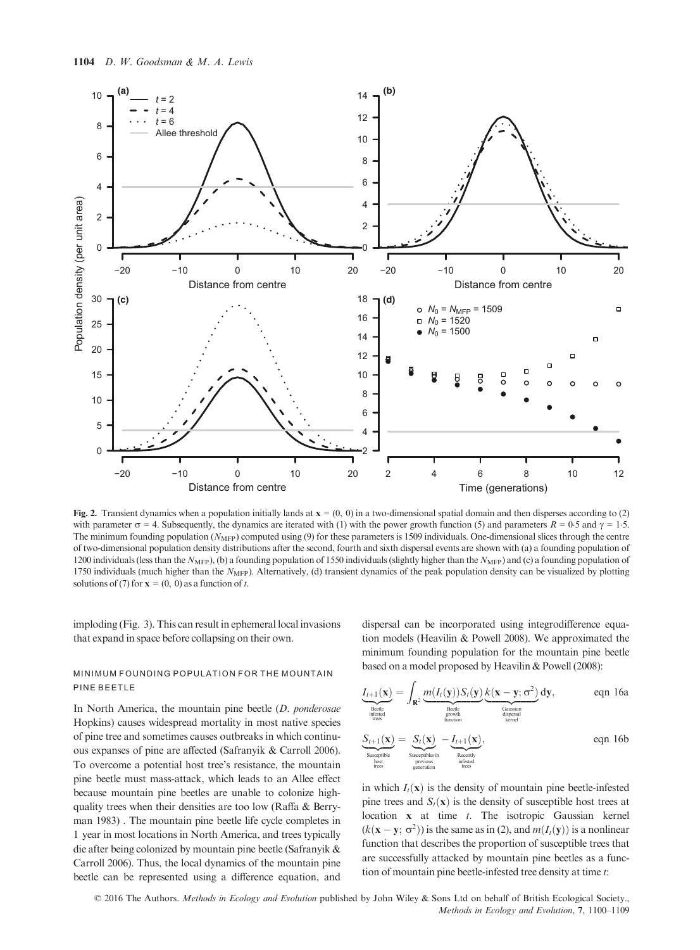

Fig. 2. Transient dynamics when a population initially lands at  $\mathbf{x} = (0, 0)$  in a two-dimensional spatial domain and then disperses according to (2) with parameter  $\sigma = 4$ . Subsequently, the dynamics are iterated with (1) with the power growth function (5) and parameters  $R = 0.5$  and  $\gamma = 1.5$ . The minimum founding population (N<sub>MFP</sub>) computed using (9) for these parameters is 1509 individuals. One-dimensional slices through the centre of two-dimensional population density distributions after the second, fourth and sixth dispersal events are shown with (a) a founding population of 1200 individuals (less than the N<sub>MFP</sub>), (b) a founding population of 1550 individuals (slightly higher than the N<sub>MFP</sub>) and (c) a founding population of 1750 individuals (much higher than the  $N_{\text{MFP}}$ ). Alternatively, (d) transient dynamics of the peak population density can be visualized by plotting solutions of (7) for  $\mathbf{x} = (0, 0)$  as a function of t.

imploding (Fig. 3). This can result in ephemeral local invasions that expand in space before collapsing on their own.

#### MINIMUM FOUNDING POPULATION FOR THE MOUNTAIN PINE BEETLE

In North America, the mountain pine beetle (D. ponderosae Hopkins) causes widespread mortality in most native species of pine tree and sometimes causes outbreaks in which continuous expanses of pine are affected (Safranyik & Carroll 2006). To overcome a potential host tree's resistance, the mountain pine beetle must mass-attack, which leads to an Allee effect because mountain pine beetles are unable to colonize highquality trees when their densities are too low (Raffa & Berryman 1983) . The mountain pine beetle life cycle completes in 1 year in most locations in North America, and trees typically die after being colonized by mountain pine beetle (Safranyik & Carroll 2006). Thus, the local dynamics of the mountain pine beetle can be represented using a difference equation, and

dispersal can be incorporated using integrodifference equation models (Heavilin & Powell 2008). We approximated the minimum founding population for the mountain pine beetle based on a model proposed by Heavilin & Powell (2008):

$$
\underbrace{I_{t+1}(\mathbf{x})}_{\substack{\text{Becle}}_{\text{inrest}}=\int_{\mathbf{R}^2}\underbrace{m(I_t(\mathbf{y}))S_t(\mathbf{y})}_{\substack{\text{Becle}}_{\text{inrest}}\underbrace{k(\mathbf{x}-\mathbf{y};\sigma^2)}_{\substack{\text{Gaussian}\\\text{inrest}\\ \text{theorem}}}d\mathbf{y},\qquad\qquad\text{eqn 16a}
$$
\n
$$
\underbrace{S_{t+1}(\mathbf{x})}_{\substack{\text{free}}=\sum_{\substack{I_t\\ \text{Susceptible}\\ \text{inrest}\\ \text{meas}}}I_{t+1}(\mathbf{x})}{\underbrace{S_t(\mathbf{x})}_{\substack{\text{inrest}\\ \text{inrest}}} -\underbrace{I_{t+1}(\mathbf{x})}_{\substack{\text{Recenty}\\ \text{inrest}}} ,\qquad\qquad\qquad\text{eqn 16b}
$$

**Recently** infested trees

in which  $I_t(\mathbf{x})$  is the density of mountain pine beetle-infested pine trees and  $S_t(\mathbf{x})$  is the density of susceptible host trees at location x at time t. The isotropic Gaussian kernel  $(k(\mathbf{x} - \mathbf{y}; \sigma^2))$  is the same as in (2), and  $m(I_t(\mathbf{y}))$  is a nonlinear<br>function that describes the proportion of succeptible trees that function that describes the proportion of susceptible trees that are successfully attacked by mountain pine beetles as a function of mountain pine beetle-infested tree density at time t:

© 2016 The Authors. Methods in Ecology and Evolution published by John Wiley & Sons Ltd on behalf of British Ecological Society., Methods in Ecology and Evolution, 7, 1100–1109

Susceptible host trees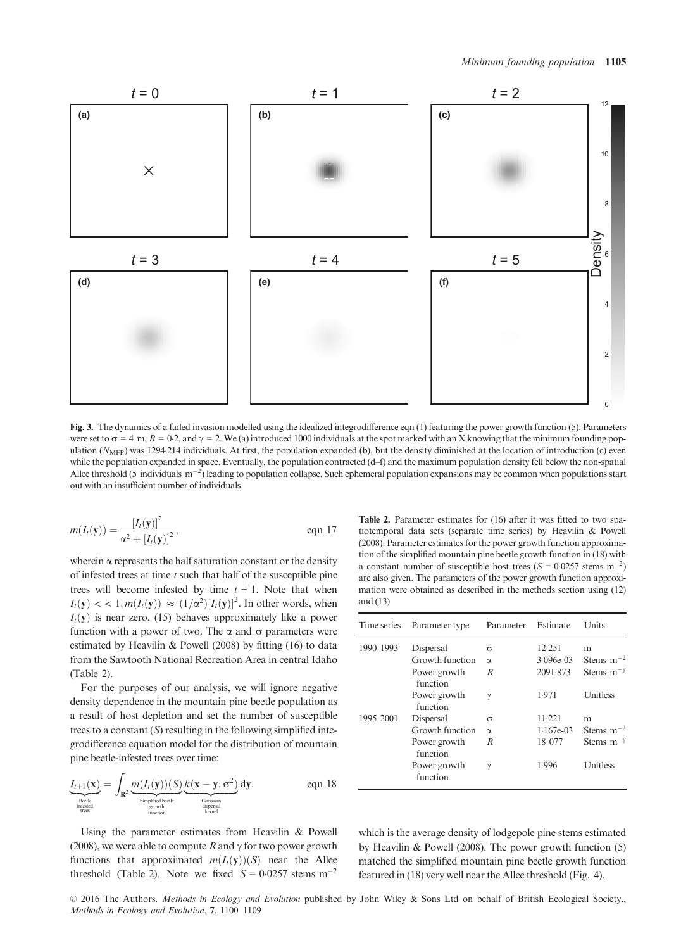

Fig. 3. The dynamics of a failed invasion modelled using the idealized integrodifference eqn (1) featuring the power growth function (5). Parameters were set to  $\sigma = 4$  m,  $R = 0.2$ , and  $\gamma = 2$ . We (a) introduced 1000 individuals at the spot marked with an X knowing that the minimum founding population  $(N_{\text{MFP}})$  was 1294-214 individuals. At first, the population expanded (b), but the density diminished at the location of introduction (c) even while the population expanded in space. Eventually, the population contracted (d–f) and the maximum population density fell below the non-spatial Allee threshold (5 individuals  $m^{-2}$ ) leading to population collapse. Such ephemeral population expansions may be common when populations start out with an insufficient number of individuals.

$$
m(I_t(\mathbf{y})) = \frac{[I_t(\mathbf{y})]^2}{\alpha^2 + [I_t(\mathbf{y})]^2},
$$
 eqn 17

wherein  $\alpha$  represents the half saturation constant or the density of infested trees at time  $t$  such that half of the susceptible pine trees will become infested by time  $t + 1$ . Note that when  $I_t(\mathbf{y}) < 1, m(I_t(\mathbf{y})) \approx (1/\alpha^2)[I_t(\mathbf{y})]^2$ . In other words, when  $I(\mathbf{x})$  is near zero (15) behaves approximately like a newsgraph  $I_t(\mathbf{y})$  is near zero, (15) behaves approximately like a power function with a power of two. The  $\alpha$  and  $\sigma$  parameters were estimated by Heavilin & Powell (2008) by fitting (16) to data from the Sawtooth National Recreation Area in central Idaho (Table 2).

For the purposes of our analysis, we will ignore negative density dependence in the mountain pine beetle population as a result of host depletion and set the number of susceptible trees to a constant  $(S)$  resulting in the following simplified integrodifference equation model for the distribution of mountain pine beetle-infested trees over time:

$$
\underline{I_{t+1}(\mathbf{x})}_{\substack{\text{Beele} \\\text{infused} \\\text{in rest}}} = \int_{\mathbf{R}^2} \underbrace{m(I_t(\mathbf{y}))(S)}_{\substack{\text{Simplified beete} \\\text{growth} \\\text{function} \\\text{kened}}} \underbrace{k(\mathbf{x} - \mathbf{y}; \sigma^2)}_{\substack{\text{Gaussian} \\\text{dynamical} \\\text{kened}}} d\mathbf{y}.
$$
eqn 18

Using the parameter estimates from Heavilin & Powell (2008), we were able to compute R and  $\gamma$  for two power growth functions that approximated  $m(I_t(\mathbf{y}))(S)$  near the Allee threshold (Table 2). Note we fixed  $S = 0.0257$  stems m<sup>-2</sup>

Table 2. Parameter estimates for (16) after it was fitted to two spatiotemporal data sets (separate time series) by Heavilin & Powell (2008). Parameter estimates for the power growth function approximation of the simplified mountain pine beetle growth function in (18) with a constant number of susceptible host trees  $(S = 0.0257 \text{ stems m}^{-2})$ are also given. The parameters of the power growth function approximation were obtained as described in the methods section using (12) and (13)

| Time series | Parameter type           | Parameter | Estimate    | Units               |
|-------------|--------------------------|-----------|-------------|---------------------|
| 1990-1993   | Dispersal                | $\sigma$  | 12.251      | m                   |
|             | Growth function          | $\alpha$  | $3.096e-03$ | Stems $m^{-2}$      |
|             | Power growth<br>function | R         | 2091-873    | Stems $m^{-\gamma}$ |
|             | Power growth<br>function | γ         | 1.971       | <b>Unitless</b>     |
| 1995-2001   | Dispersal                | $\sigma$  | 11.221      | m                   |
|             | Growth function          | $\alpha$  | $1.167e-03$ | Stems $m^{-2}$      |
|             | Power growth<br>function | R         | 18 077      | Stems $m^{-\gamma}$ |
|             | Power growth<br>function | $\gamma$  | 1.996       | <b>Unitless</b>     |

which is the average density of lodgepole pine stems estimated by Heavilin & Powell (2008). The power growth function (5) matched the simplified mountain pine beetle growth function featured in (18) very well near the Allee threshold (Fig. 4).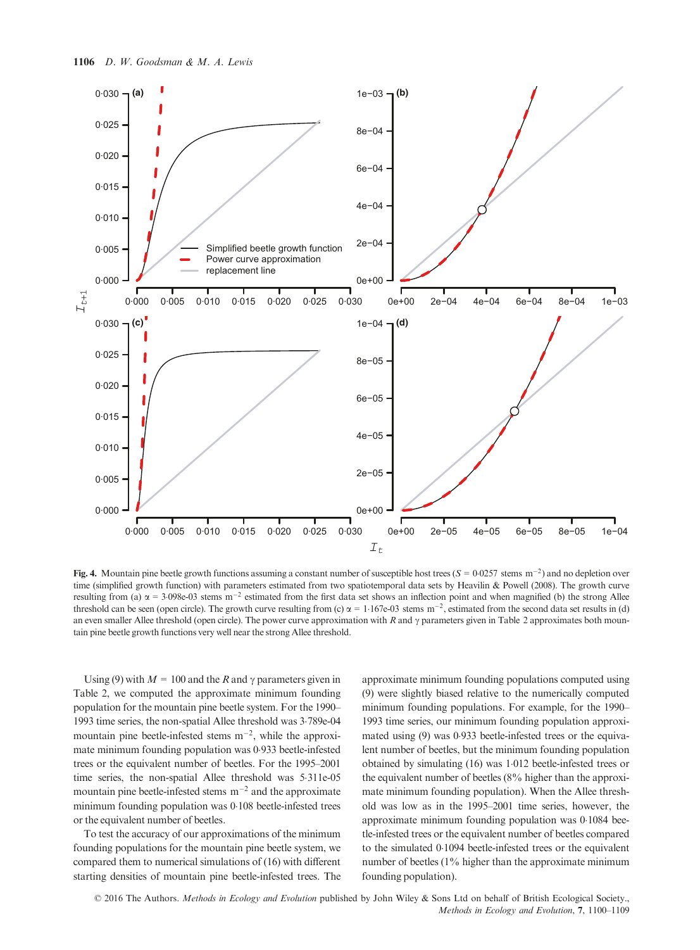

Fig. 4. Mountain pine beetle growth functions assuming a constant number of susceptible host trees  $(S = 0.0257 \text{ stems m}^{-2})$  and no depletion over time (simplified growth function) with parameters estimated from two spatiotemporal data sets by Heavilin & Powell (2008). The growth curve resulting from (a)  $\alpha = 3.098e-03$  stems m<sup>-2</sup> estimated from the first data set shows an inflection point and when magnified (b) the strong Allee<br>threshold can be seen (onen circle). The growth curve resulting from (c) threshold can be seen (open circle). The growth curve resulting from  $(c) \alpha = 1.167e-03$  stems  $m^{-2}$ , estimated from the second data set results in (d) an even smaller Allea threshold (open circle). The power curve approxi an even smaller Allee threshold (open circle). The power curve approximation with R and  $\gamma$  parameters given in Table 2 approximates both mountain pine beetle growth functions very well near the strong Allee threshold.

Using (9) with  $M = 100$  and the R and  $\gamma$  parameters given in Table 2, we computed the approximate minimum founding population for the mountain pine beetle system. For the 1990– 1993 time series, the non-spatial Allee threshold was 3789e-04 mountain pine beetle-infested stems  $m^{-2}$ , while the approximate minimum founding population was 0933 beetle-infested trees or the equivalent number of beetles. For the 1995–2001 time series, the non-spatial Allee threshold was 5.311e-05 mountain pine beetle-infested stems  $m^{-2}$  and the approximate minimum founding population was 0.108 beetle-infested trees or the equivalent number of beetles.

To test the accuracy of our approximations of the minimum founding populations for the mountain pine beetle system, we compared them to numerical simulations of (16) with different starting densities of mountain pine beetle-infested trees. The approximate minimum founding populations computed using (9) were slightly biased relative to the numerically computed minimum founding populations. For example, for the 1990– 1993 time series, our minimum founding population approximated using (9) was 0.933 beetle-infested trees or the equivalent number of beetles, but the minimum founding population obtained by simulating (16) was 1012 beetle-infested trees or the equivalent number of beetles (8% higher than the approximate minimum founding population). When the Allee threshold was low as in the 1995–2001 time series, however, the approximate minimum founding population was 0.1084 beetle-infested trees or the equivalent number of beetles compared to the simulated 0.1094 beetle-infested trees or the equivalent number of beetles (1% higher than the approximate minimum founding population).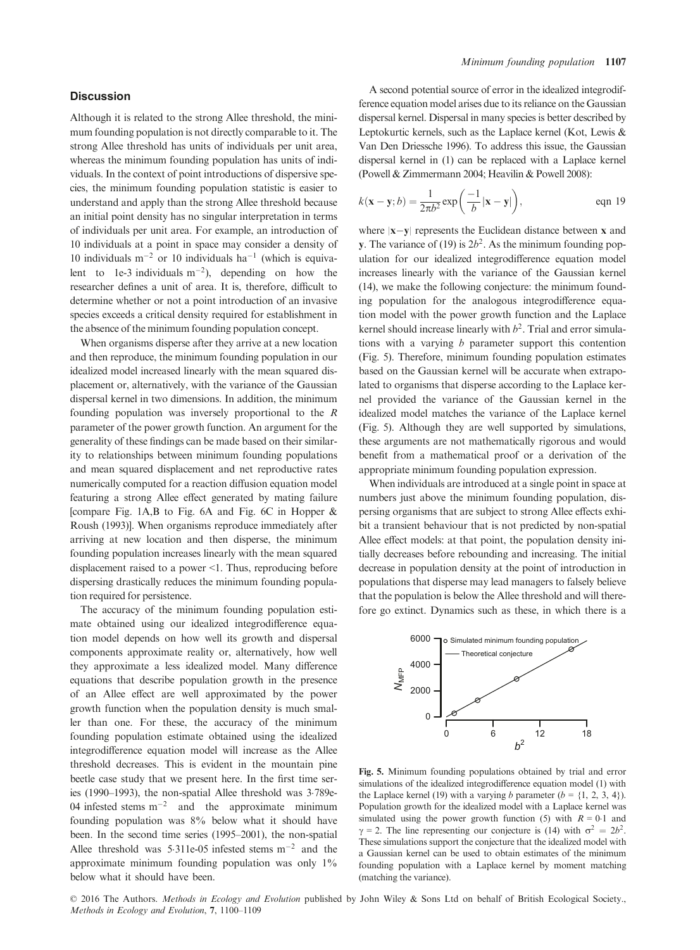#### **Discussion**

Although it is related to the strong Allee threshold, the minimum founding population is not directly comparable to it. The strong Allee threshold has units of individuals per unit area, whereas the minimum founding population has units of individuals. In the context of point introductions of dispersive species, the minimum founding population statistic is easier to understand and apply than the strong Allee threshold because an initial point density has no singular interpretation in terms of individuals per unit area. For example, an introduction of 10 individuals at a point in space may consider a density of 10 individuals  $m^{-2}$  or 10 individuals  $ha^{-1}$  (which is equivalent to 1e-3 individuals  $m^{-2}$ ), depending on how the researcher defines a unit of area. It is, therefore, difficult to determine whether or not a point introduction of an invasive species exceeds a critical density required for establishment in the absence of the minimum founding population concept.

When organisms disperse after they arrive at a new location and then reproduce, the minimum founding population in our idealized model increased linearly with the mean squared displacement or, alternatively, with the variance of the Gaussian dispersal kernel in two dimensions. In addition, the minimum founding population was inversely proportional to the R parameter of the power growth function. An argument for the generality of these findings can be made based on their similarity to relationships between minimum founding populations and mean squared displacement and net reproductive rates numerically computed for a reaction diffusion equation model featuring a strong Allee effect generated by mating failure [compare Fig. 1A,B to Fig. 6A and Fig. 6C in Hopper & Roush (1993)]. When organisms reproduce immediately after arriving at new location and then disperse, the minimum founding population increases linearly with the mean squared displacement raised to a power <1. Thus, reproducing before dispersing drastically reduces the minimum founding population required for persistence.

The accuracy of the minimum founding population estimate obtained using our idealized integrodifference equation model depends on how well its growth and dispersal components approximate reality or, alternatively, how well they approximate a less idealized model. Many difference equations that describe population growth in the presence of an Allee effect are well approximated by the power growth function when the population density is much smaller than one. For these, the accuracy of the minimum founding population estimate obtained using the idealized integrodifference equation model will increase as the Allee threshold decreases. This is evident in the mountain pine beetle case study that we present here. In the first time series (1990–1993), the non-spatial Allee threshold was 3.789e-04 infested stems  $m^{-2}$  and the approximate minimum founding population was 8% below what it should have been. In the second time series (1995–2001), the non-spatial Allee threshold was  $5.311e-0.5$  infested stems m<sup>-2</sup> and the approximate minimum founding population was only 1% below what it should have been.

A second potential source of error in the idealized integrodifference equation model arises due to its reliance on the Gaussian dispersal kernel. Dispersal in many species is better described by Leptokurtic kernels, such as the Laplace kernel (Kot, Lewis & Van Den Driessche 1996). To address this issue, the Gaussian dispersal kernel in (1) can be replaced with a Laplace kernel (Powell & Zimmermann 2004; Heavilin & Powell 2008):

$$
k(\mathbf{x} - \mathbf{y}; b) = \frac{1}{2\pi b^2} \exp\left(\frac{-1}{b} |\mathbf{x} - \mathbf{y}|\right), \quad \text{eqn 19}
$$

where  $|x-y|$  represents the Euclidean distance between **x** and y. The variance of (19) is  $2b^2$ . As the minimum founding population for our idealized integrodifference equation model increases linearly with the variance of the Gaussian kernel (14), we make the following conjecture: the minimum founding population for the analogous integrodifference equation model with the power growth function and the Laplace kernel should increase linearly with  $b<sup>2</sup>$ . Trial and error simulations with a varying  $b$  parameter support this contention (Fig. 5). Therefore, minimum founding population estimates based on the Gaussian kernel will be accurate when extrapolated to organisms that disperse according to the Laplace kernel provided the variance of the Gaussian kernel in the idealized model matches the variance of the Laplace kernel (Fig. 5). Although they are well supported by simulations, these arguments are not mathematically rigorous and would benefit from a mathematical proof or a derivation of the appropriate minimum founding population expression.

When individuals are introduced at a single point in space at numbers just above the minimum founding population, dispersing organisms that are subject to strong Allee effects exhibit a transient behaviour that is not predicted by non-spatial Allee effect models: at that point, the population density initially decreases before rebounding and increasing. The initial decrease in population density at the point of introduction in populations that disperse may lead managers to falsely believe that the population is below the Allee threshold and will therefore go extinct. Dynamics such as these, in which there is a



Fig. 5. Minimum founding populations obtained by trial and error simulations of the idealized integrodifference equation model (1) with the Laplace kernel (19) with a varying b parameter ( $b = \{1, 2, 3, 4\}$ ). Population growth for the idealized model with a Laplace kernel was simulated using the power growth function (5) with  $R = 0.1$  and  $\gamma = 2$ . The line representing our conjecture is (14) with  $\sigma^2 = 2b^2$ . These simulations support the conjecture that the idealized model with a Gaussian kernel can be used to obtain estimates of the minimum founding population with a Laplace kernel by moment matching (matching the variance).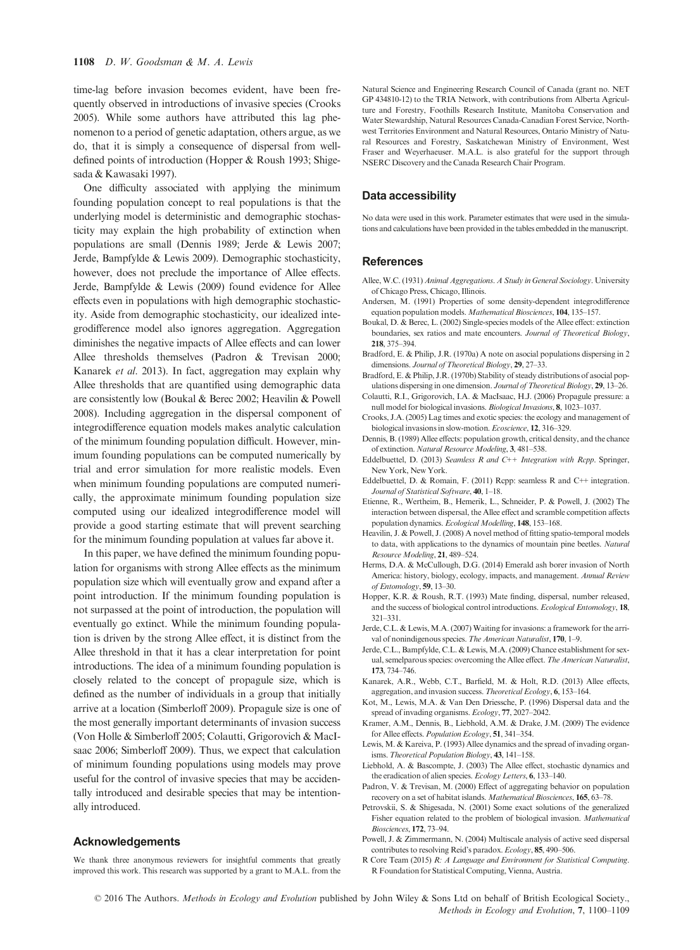time-lag before invasion becomes evident, have been frequently observed in introductions of invasive species (Crooks 2005). While some authors have attributed this lag phenomenon to a period of genetic adaptation, others argue, as we do, that it is simply a consequence of dispersal from welldefined points of introduction (Hopper & Roush 1993; Shigesada & Kawasaki 1997).

One difficulty associated with applying the minimum founding population concept to real populations is that the underlying model is deterministic and demographic stochasticity may explain the high probability of extinction when populations are small (Dennis 1989; Jerde & Lewis 2007; Jerde, Bampfylde & Lewis 2009). Demographic stochasticity, however, does not preclude the importance of Allee effects. Jerde, Bampfylde & Lewis (2009) found evidence for Allee effects even in populations with high demographic stochasticity. Aside from demographic stochasticity, our idealized integrodifference model also ignores aggregation. Aggregation diminishes the negative impacts of Allee effects and can lower Allee thresholds themselves (Padron & Trevisan 2000; Kanarek et al. 2013). In fact, aggregation may explain why Allee thresholds that are quantified using demographic data are consistently low (Boukal & Berec 2002; Heavilin & Powell 2008). Including aggregation in the dispersal component of integrodifference equation models makes analytic calculation of the minimum founding population difficult. However, minimum founding populations can be computed numerically by trial and error simulation for more realistic models. Even when minimum founding populations are computed numerically, the approximate minimum founding population size computed using our idealized integrodifference model will provide a good starting estimate that will prevent searching for the minimum founding population at values far above it.

In this paper, we have defined the minimum founding population for organisms with strong Allee effects as the minimum population size which will eventually grow and expand after a point introduction. If the minimum founding population is not surpassed at the point of introduction, the population will eventually go extinct. While the minimum founding population is driven by the strong Allee effect, it is distinct from the Allee threshold in that it has a clear interpretation for point introductions. The idea of a minimum founding population is closely related to the concept of propagule size, which is defined as the number of individuals in a group that initially arrive at a location (Simberloff 2009). Propagule size is one of the most generally important determinants of invasion success (Von Holle & Simberloff 2005; Colautti, Grigorovich & MacIsaac 2006; Simberloff 2009). Thus, we expect that calculation of minimum founding populations using models may prove useful for the control of invasive species that may be accidentally introduced and desirable species that may be intentionally introduced.

#### Acknowledgements

We thank three anonymous reviewers for insightful comments that greatly improved this work. This research was supported by a grant to M.A.L. from the Natural Science and Engineering Research Council of Canada (grant no. NET GP 434810-12) to the TRIA Network, with contributions from Alberta Agriculture and Forestry, Foothills Research Institute, Manitoba Conservation and Water Stewardship, Natural Resources Canada-Canadian Forest Service, Northwest Territories Environment and Natural Resources, Ontario Ministry of Natural Resources and Forestry, Saskatchewan Ministry of Environment, West Fraser and Weyerhaeuser. M.A.L. is also grateful for the support through NSERC Discovery and the Canada Research Chair Program.

#### Data accessibility

No data were used in this work. Parameter estimates that were used in the simulations and calculations have been provided in the tables embedded in the manuscript.

#### References

- Allee, W.C. (1931) Animal Aggregations. A Study in General Sociology. University of Chicago Press, Chicago, Illinois.
- Andersen, M. (1991) Properties of some density-dependent integrodifference equation population models. Mathematical Biosciences, 104, 135–157.
- Boukal, D. & Berec, L. (2002) Single-species models of the Allee effect: extinction boundaries, sex ratios and mate encounters. Journal of Theoretical Biology, 218, 375–394.
- Bradford, E. & Philip, J.R. (1970a) A note on asocial populations dispersing in 2 dimensions. Journal of Theoretical Biology, 29, 27–33.
- Bradford, E. & Philip, J.R. (1970b) Stability of steady distributions of asocial populations dispersing in one dimension. Journal of Theoretical Biology, 29, 13–26.
- Colautti, R.I., Grigorovich, I.A. & MacIsaac, H.J. (2006) Propagule pressure: a null model for biological invasions. Biological Invasions, 8, 1023–1037.
- Crooks, J.A. (2005) Lag times and exotic species: the ecology and management of biological invasions in slow-motion. Ecoscience, 12, 316–329.
- Dennis, B. (1989) Allee effects: population growth, critical density, and the chance of extinction. Natural Resource Modeling, 3, 481–538.
- Eddelbuettel, D. (2013) Seamless R and C++ Integration with Rcpp. Springer, New York, New York.
- Eddelbuettel, D. & Romain, F. (2011) Rcpp: seamless R and C++ integration. Journal of Statistical Software, 40, 1–18.
- Etienne, R., Wertheim, B., Hemerik, L., Schneider, P. & Powell, J. (2002) The interaction between dispersal, the Allee effect and scramble competition affects population dynamics. Ecological Modelling, 148, 153–168.
- Heavilin, J. & Powell, J. (2008) A novel method of fitting spatio-temporal models to data, with applications to the dynamics of mountain pine beetles. Natural Resource Modeling, 21, 489–524.
- Herms, D.A. & McCullough, D.G. (2014) Emerald ash borer invasion of North America: history, biology, ecology, impacts, and management. Annual Review of Entomology, 59, 13–30.
- Hopper, K.R. & Roush, R.T. (1993) Mate finding, dispersal, number released, and the success of biological control introductions. Ecological Entomology, 18, 321–331.
- Jerde, C.L. & Lewis, M.A. (2007) Waiting for invasions: a framework for the arrival of nonindigenous species. The American Naturalist, 170, 1-9.
- Jerde, C.L., Bampfylde, C.L. & Lewis, M.A. (2009) Chance establishment for sexual, semelparous species: overcoming the Allee effect. The American Naturalist, 173, 734–746.
- Kanarek, A.R., Webb, C.T., Barfield, M. & Holt, R.D. (2013) Allee effects, aggregation, and invasion success. Theoretical Ecology, 6, 153–164.
- Kot, M., Lewis, M.A. & Van Den Driessche, P. (1996) Dispersal data and the spread of invading organisms. Ecology, 77, 2027–2042.
- Kramer, A.M., Dennis, B., Liebhold, A.M. & Drake, J.M. (2009) The evidence for Allee effects. Population Ecology, 51, 341–354.
- Lewis, M. & Kareiva, P. (1993) Allee dynamics and the spread of invading organisms. Theoretical Population Biology, 43, 141–158.
- Liebhold, A. & Bascompte, J. (2003) The Allee effect, stochastic dynamics and the eradication of alien species. Ecology Letters, 6, 133–140.
- Padron, V. & Trevisan, M. (2000) Effect of aggregating behavior on population recovery on a set of habitat islands. Mathematical Biosciences, 165, 63–78.
- Petrovskii, S. & Shigesada, N. (2001) Some exact solutions of the generalized Fisher equation related to the problem of biological invasion. Mathematical Biosciences, 172, 73–94.
- Powell, J. & Zimmermann, N. (2004) Multiscale analysis of active seed dispersal contributes to resolving Reid's paradox. Ecology, 85, 490–506.
- R Core Team (2015) R: A Language and Environment for Statistical Computing. R Foundation for Statistical Computing, Vienna, Austria.